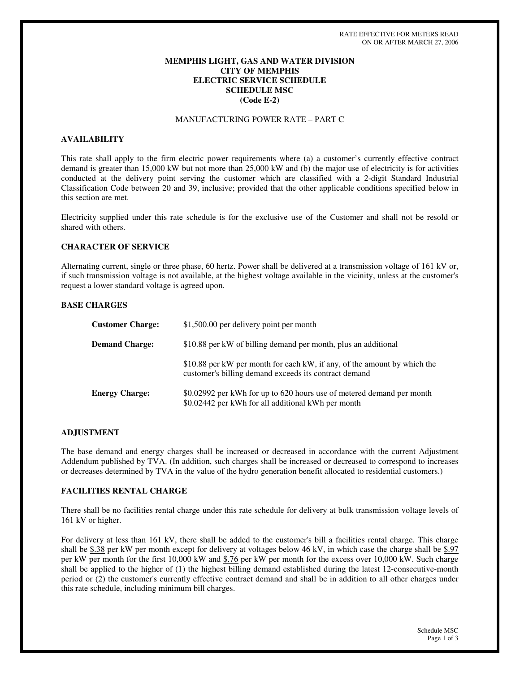# **MEMPHIS LIGHT, GAS AND WATER DIVISION CITY OF MEMPHIS ELECTRIC SERVICE SCHEDULE SCHEDULE MSC (Code E-2)**

# MANUFACTURING POWER RATE – PART C

## **AVAILABILITY**

This rate shall apply to the firm electric power requirements where (a) a customer's currently effective contract demand is greater than 15,000 kW but not more than 25,000 kW and (b) the major use of electricity is for activities conducted at the delivery point serving the customer which are classified with a 2-digit Standard Industrial Classification Code between 20 and 39, inclusive; provided that the other applicable conditions specified below in this section are met.

Electricity supplied under this rate schedule is for the exclusive use of the Customer and shall not be resold or shared with others.

### **CHARACTER OF SERVICE**

Alternating current, single or three phase, 60 hertz. Power shall be delivered at a transmission voltage of 161 kV or, if such transmission voltage is not available, at the highest voltage available in the vicinity, unless at the customer's request a lower standard voltage is agreed upon.

## **BASE CHARGES**

| <b>Customer Charge:</b> | \$1,500.00 per delivery point per month                                                                                           |
|-------------------------|-----------------------------------------------------------------------------------------------------------------------------------|
| <b>Demand Charge:</b>   | \$10.88 per kW of billing demand per month, plus an additional                                                                    |
|                         | \$10.88 per kW per month for each kW, if any, of the amount by which the<br>customer's billing demand exceeds its contract demand |
| <b>Energy Charge:</b>   | \$0.02992 per kWh for up to 620 hours use of metered demand per month<br>\$0.02442 per kWh for all additional kWh per month       |

## **ADJUSTMENT**

The base demand and energy charges shall be increased or decreased in accordance with the current Adjustment Addendum published by TVA. (In addition, such charges shall be increased or decreased to correspond to increases or decreases determined by TVA in the value of the hydro generation benefit allocated to residential customers.)

## **FACILITIES RENTAL CHARGE**

There shall be no facilities rental charge under this rate schedule for delivery at bulk transmission voltage levels of 161 kV or higher.

For delivery at less than 161 kV, there shall be added to the customer's bill a facilities rental charge. This charge shall be \$.38 per kW per month except for delivery at voltages below 46 kV, in which case the charge shall be \$.97 per kW per month for the first 10,000 kW and \$.76 per kW per month for the excess over 10,000 kW. Such charge shall be applied to the higher of (1) the highest billing demand established during the latest 12-consecutive-month period or (2) the customer's currently effective contract demand and shall be in addition to all other charges under this rate schedule, including minimum bill charges.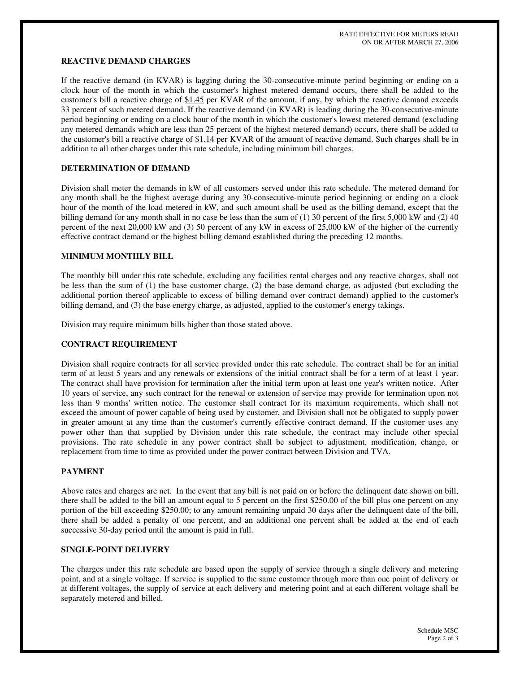## **REACTIVE DEMAND CHARGES**

If the reactive demand (in KVAR) is lagging during the 30-consecutive-minute period beginning or ending on a clock hour of the month in which the customer's highest metered demand occurs, there shall be added to the customer's bill a reactive charge of \$1.45 per KVAR of the amount, if any, by which the reactive demand exceeds 33 percent of such metered demand. If the reactive demand (in KVAR) is leading during the 30-consecutive-minute period beginning or ending on a clock hour of the month in which the customer's lowest metered demand (excluding any metered demands which are less than 25 percent of the highest metered demand) occurs, there shall be added to the customer's bill a reactive charge of \$1.14 per KVAR of the amount of reactive demand. Such charges shall be in addition to all other charges under this rate schedule, including minimum bill charges.

## **DETERMINATION OF DEMAND**

Division shall meter the demands in kW of all customers served under this rate schedule. The metered demand for any month shall be the highest average during any 30-consecutive-minute period beginning or ending on a clock hour of the month of the load metered in kW, and such amount shall be used as the billing demand, except that the billing demand for any month shall in no case be less than the sum of (1) 30 percent of the first 5,000 kW and (2) 40 percent of the next 20,000 kW and (3) 50 percent of any kW in excess of 25,000 kW of the higher of the currently effective contract demand or the highest billing demand established during the preceding 12 months.

### **MINIMUM MONTHLY BILL**

The monthly bill under this rate schedule, excluding any facilities rental charges and any reactive charges, shall not be less than the sum of (1) the base customer charge, (2) the base demand charge, as adjusted (but excluding the additional portion thereof applicable to excess of billing demand over contract demand) applied to the customer's billing demand, and (3) the base energy charge, as adjusted, applied to the customer's energy takings.

Division may require minimum bills higher than those stated above.

## **CONTRACT REQUIREMENT**

Division shall require contracts for all service provided under this rate schedule. The contract shall be for an initial term of at least 5 years and any renewals or extensions of the initial contract shall be for a term of at least 1 year. The contract shall have provision for termination after the initial term upon at least one year's written notice. After 10 years of service, any such contract for the renewal or extension of service may provide for termination upon not less than 9 months'written notice. The customer shall contract for its maximum requirements, which shall not exceed the amount of power capable of being used by customer, and Division shall not be obligated to supply power in greater amount at any time than the customer's currently effective contract demand. If the customer uses any power other than that supplied by Division under this rate schedule, the contract may include other special provisions. The rate schedule in any power contract shall be subject to adjustment, modification, change, or replacement from time to time as provided under the power contract between Division and TVA.

### **PAYMENT**

Above rates and charges are net. In the event that any bill is not paid on or before the delinquent date shown on bill, there shall be added to the bill an amount equal to 5 percent on the first \$250.00 of the bill plus one percent on any portion of the bill exceeding \$250.00; to any amount remaining unpaid 30 days after the delinquent date of the bill, there shall be added a penalty of one percent, and an additional one percent shall be added at the end of each successive 30-day period until the amount is paid in full.

#### **SINGLE-POINT DELIVERY**

The charges under this rate schedule are based upon the supply of service through a single delivery and metering point, and at a single voltage. If service is supplied to the same customer through more than one point of delivery or at different voltages, the supply of service at each delivery and metering point and at each different voltage shall be separately metered and billed.